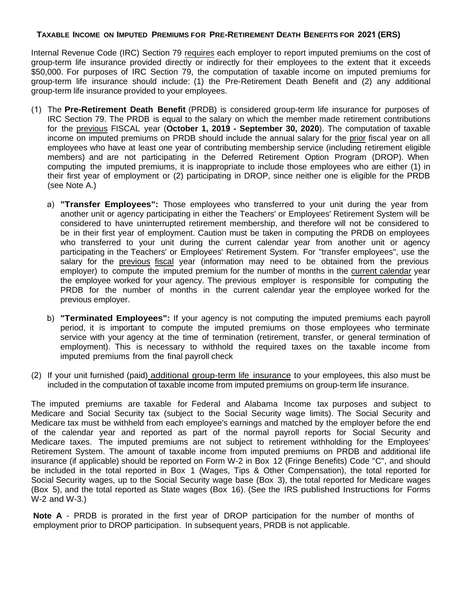## TAXABLE INCOME ON IMPUTED PREMIUMS FOR PRE-RETIREMENT DEATH BENEFITS FOR 2021 (ERS)

Internal Revenue Code (IRC) Section 79 requires each employer to report imputed premiums on the cost of group-term life insurance provided directly or indirectly for their employees to the extent that it exceeds \$50,000. For purposes of IRC Section 79, the computation of taxable income on imputed premiums for group-term life insurance should include: (1) the Pre-Retirement Death Benefit and (2) any additional group-term life insurance provided to your employees.

- (1) The **Pre-Retirement Death Benefit** (PRDB) is considered group-term life insurance for purposes of IRC Section 79. The PRDB is equal to the salary on which the member made retirement contributions for the previous FISCAL year (**October 1, 2019 - September 30, 2020**). The computation of taxable income on imputed premiums on PRDB should include the annual salary for the prior fiscal year on all employees who have at least one year of contributing membership service (including retirement eligible members) and are not participating in the Deferred Retirement Option Program (DROP). When computing the imputed premiums, it is inappropriate to include those employees who are either (1) in their first year of employment or (2) participating in DROP, since neither one is eligible for the PRDB (see Note A.)
	- a) **"Transfer Employees":** Those employees who transferred to your unit during the year from another unit or agency participating in either the Teachers' or Employees' Retirement System will be considered to have uninterrupted retirement membership, and therefore will not be considered to be in their first year of employment. Caution must be taken in computing the PRDB on employees who transferred to your unit during the current calendar year from another unit or agency participating in the Teachers' or Employees' Retirement System. For "transfer employees", use the salary for the previous fiscal year (information may need to be obtained from the previous employer) to compute the imputed premium for the number of months in the current calendar year the employee worked for your agency. The previous employer is responsible for computing the PRDB for the number of months in the current calendar year the employee worked for the previous employer.
	- b) **"Terminated Employees":** If your agency is not computing the imputed premiums each payroll period, it is important to compute the imputed premiums on those employees who terminate service with your agency at the time of termination (retirement, transfer, or general termination of employment). This is necessary to withhold the required taxes on the taxable income from imputed premiums from the final payroll check
- (2) If your unit furnished (paid) additional group-term life insurance to your employees, this also must be included in the computation of taxable income from imputed premiums on group-term life insurance.

The imputed premiums are taxable for Federal and Alabama Income tax purposes and subject to Medicare and Social Security tax (subject to the Social Security wage limits). The Social Security and Medicare tax must be withheld from each employee's earnings and matched by the employer before the end of the calendar year and reported as part of the normal payroll reports for Social Security and Medicare taxes. The imputed premiums are not subject to retirement withholding for the Employees' Retirement System. The amount of taxable income from imputed premiums on PRDB and additional life insurance (if applicable) should be reported on Form W-2 in Box 12 (Fringe Benefits) Code "C", and should be included in the total reported in Box 1 (Wages, Tips & Other Compensation), the total reported for Social Security wages, up to the Social Security wage base (Box 3), the total reported for Medicare wages (Box 5), and the total reported as State wages (Box 16). (See the IRS published Instructions for Forms W-2 and W-3.)

**Note A** - PRDB is prorated in the first year of DROP participation for the number of months of employment prior to DROP participation. In subsequent years, PRDB is not applicable.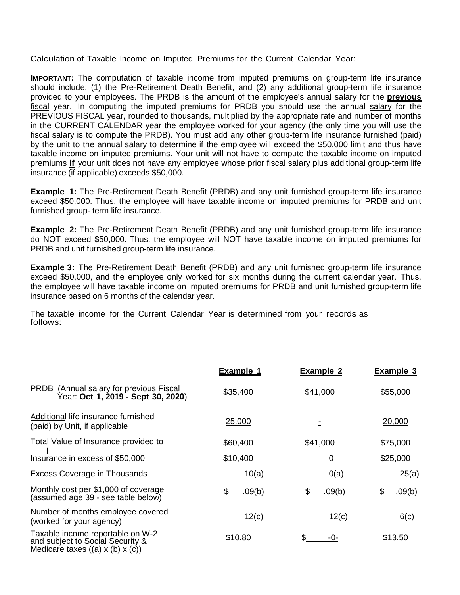Calculation of Taxable Income on Imputed Premiums for the Current Calendar Year:

**IMPORTANT:** The computation of taxable income from imputed premiums on group-term life insurance should include: (1) the Pre-Retirement Death Benefit, and (2) any additional group-term life insurance provided to your employees. The PRDB is the amount of the employee's annual salary for the **previous** fiscal year. In computing the imputed premiums for PRDB you should use the annual salary for the PREVIOUS FISCAL year, rounded to thousands, multiplied by the appropriate rate and number of months in the CURRENT CALENDAR year the employee worked for your agency (the only time you will use the fiscal salary is to compute the PRDB). You must add any other group-term life insurance furnished (paid) by the unit to the annual salary to determine if the employee will exceed the \$50,000 limit and thus have taxable income on imputed premiums. Your unit will not have to compute the taxable income on imputed premiums **if** your unit does not have any employee whose prior fiscal salary plus additional group-term life insurance (if applicable) exceeds \$50,000.

**Example 1:** The Pre-Retirement Death Benefit (PRDB) and any unit furnished group-term life insurance exceed \$50,000. Thus, the employee will have taxable income on imputed premiums for PRDB and unit furnished group- term life insurance.

**Example 2:** The Pre-Retirement Death Benefit (PRDB) and any unit furnished group-term life insurance do NOT exceed \$50,000. Thus, the employee will NOT have taxable income on imputed premiums for PRDB and unit furnished group-term life insurance.

**Example 3:** The Pre-Retirement Death Benefit (PRDB) and any unit furnished group-term life insurance exceed \$50,000, and the employee only worked for six months during the current calendar year. Thus, the employee will have taxable income on imputed premiums for PRDB and unit furnished group-term life insurance based on 6 months of the calendar year.

The taxable income for the Current Calendar Year is determined from your records as follows:

|                                                                                                                      | <b>Example 1</b> | <b>Example 2</b> | <b>Example 3</b> |
|----------------------------------------------------------------------------------------------------------------------|------------------|------------------|------------------|
| PRDB (Annual salary for previous Fiscal<br>Year: Oct 1, 2019 - Sept 30, 2020)                                        | \$35,400         | \$41,000         | \$55,000         |
| Additional life insurance furnished<br>(paid) by Unit, if applicable                                                 | 25,000           |                  | 20,000           |
| Total Value of Insurance provided to                                                                                 | \$60,400         | \$41,000         | \$75,000         |
| Insurance in excess of \$50,000                                                                                      | \$10,400         | 0                | \$25,000         |
| <b>Excess Coverage in Thousands</b>                                                                                  | 10(a)            | 0(a)             | 25(a)            |
| Monthly cost per \$1,000 of coverage<br>(assumed age 39 - see table below)                                           | \$<br>.09(b)     | \$<br>.09(b)     | \$<br>.09(b)     |
| Number of months employee covered<br>(worked for your agency)                                                        | 12(c)            | 12(c)            | 6(c)             |
| Taxable income reportable on W-2<br>and subject to Social Security &<br>Medicare taxes $((a) \times (b) \times (c))$ | <u>\$10.80</u>   | \$<br>-0-        | \$13.50          |